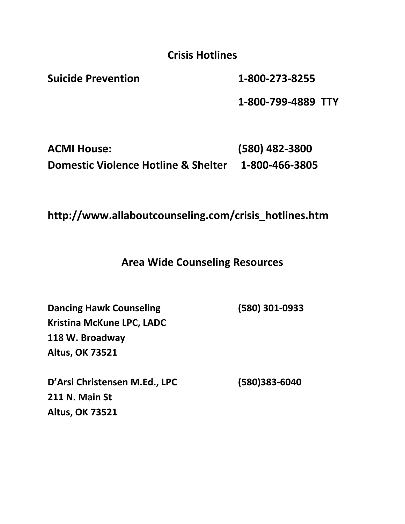**Crisis Hotlines**

**Suicide Prevention 1-800-273-8255**

**1-800-799-4889 TTY**

**ACMI House: (580) 482-3800 Domestic Violence Hotline & Shelter 1-800-466-3805**

**http://www.allaboutcounseling.com/crisis\_hotlines.htm**

**Area Wide Counseling Resources**

**Dancing Hawk Counseling (580) 301-0933 Kristina McKune LPC, LADC 118 W. Broadway Altus, OK 73521**

**D'Arsi Christensen M.Ed., LPC (580)383-6040 211 N. Main St Altus, OK 73521**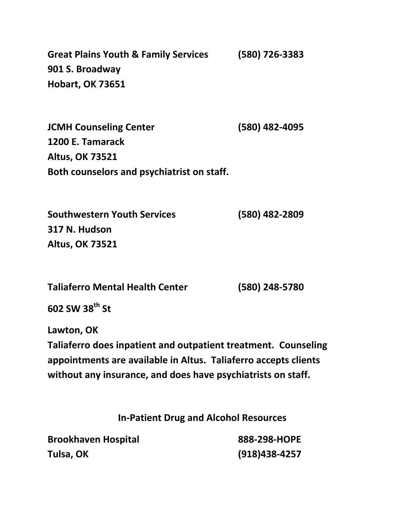**Great Plains Youth & Family Services (580) 726-3383 901 S. Broadway Hobart, OK 73651**

**JCMH Counseling Center (580) 482-4095 1200 E. Tamarack Altus, OK 73521 Both counselors and psychiatrist on staff.** 

**Southwestern Youth Services (580) 482-2809 317 N. Hudson Altus, OK 73521**

**Taliaferro Mental Health Center (580) 248-5780**

**602 SW 38th St**

**Lawton, OK** 

**Taliaferro does inpatient and outpatient treatment. Counseling appointments are available in Altus. Taliaferro accepts clients without any insurance, and does have psychiatrists on staff.** 

**In-Patient Drug and Alcohol Resources**

| <b>Brookhaven Hospital</b> | 888-298-HOPE    |
|----------------------------|-----------------|
| Tulsa, OK                  | $(918)438-4257$ |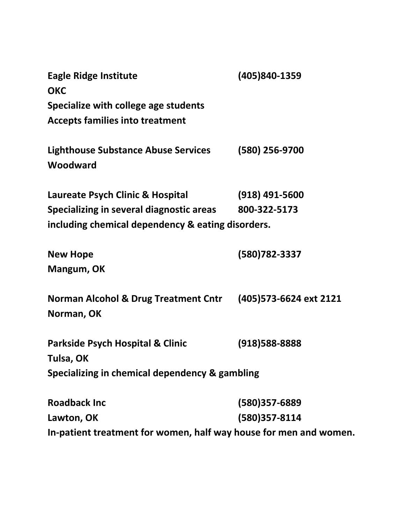| <b>Eagle Ridge Institute</b>                                      | (405)840-1359           |
|-------------------------------------------------------------------|-------------------------|
| <b>OKC</b>                                                        |                         |
| Specialize with college age students                              |                         |
| <b>Accepts families into treatment</b>                            |                         |
| <b>Lighthouse Substance Abuse Services</b>                        | (580) 256-9700          |
| Woodward                                                          |                         |
| Laureate Psych Clinic & Hospital                                  | $(918)$ 491-5600        |
| Specializing in several diagnostic areas                          | 800-322-5173            |
| including chemical dependency & eating disorders.                 |                         |
| <b>New Hope</b>                                                   | (580)782-3337           |
| Mangum, OK                                                        |                         |
| <b>Norman Alcohol &amp; Drug Treatment Cntr</b>                   | (405) 573-6624 ext 2121 |
| Norman, OK                                                        |                         |
| Parkside Psych Hospital & Clinic                                  | (918) 588-8888          |
| Tulsa, OK                                                         |                         |
| Specializing in chemical dependency & gambling                    |                         |
| <b>Roadback Inc</b>                                               | (580)357-6889           |
| Lawton, OK                                                        | (580)357-8114           |
| In-patient treatment for women, half way house for men and women. |                         |